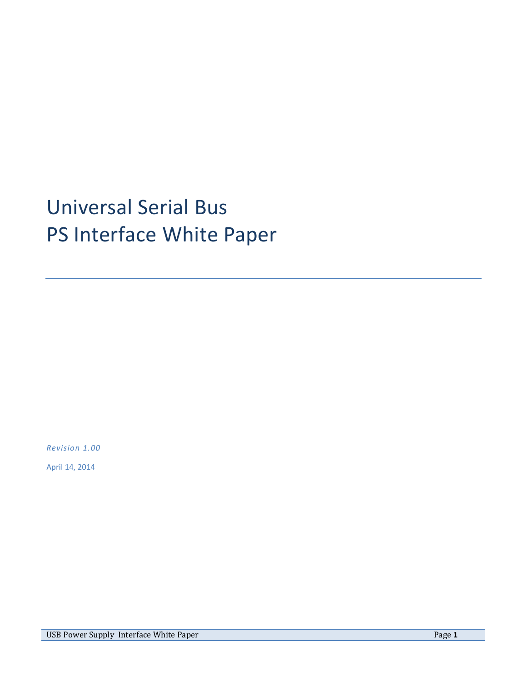# Universal Serial Bus PS Interface White Paper

*Revision 1.00*

April 14, 2014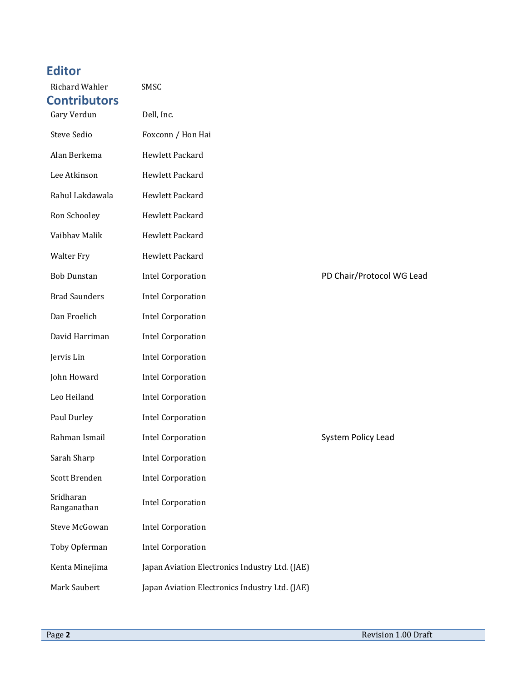# <span id="page-1-0"></span>**Editor**

<span id="page-1-1"></span>

| Richard Wahler<br><b>Contributors</b> | SMSC                                           |                           |
|---------------------------------------|------------------------------------------------|---------------------------|
| Gary Verdun                           | Dell, Inc.                                     |                           |
| Steve Sedio                           | Foxconn / Hon Hai                              |                           |
| Alan Berkema                          | Hewlett Packard                                |                           |
| Lee Atkinson                          | Hewlett Packard                                |                           |
| Rahul Lakdawala                       | Hewlett Packard                                |                           |
| Ron Schooley                          | Hewlett Packard                                |                           |
| Vaibhav Malik                         | Hewlett Packard                                |                           |
| <b>Walter Fry</b>                     | Hewlett Packard                                |                           |
| <b>Bob Dunstan</b>                    | <b>Intel Corporation</b>                       | PD Chair/Protocol WG Lead |
| <b>Brad Saunders</b>                  | <b>Intel Corporation</b>                       |                           |
| Dan Froelich                          | <b>Intel Corporation</b>                       |                           |
| David Harriman                        | <b>Intel Corporation</b>                       |                           |
| Jervis Lin                            | <b>Intel Corporation</b>                       |                           |
| John Howard                           | <b>Intel Corporation</b>                       |                           |
| Leo Heiland                           | <b>Intel Corporation</b>                       |                           |
| Paul Durley                           | <b>Intel Corporation</b>                       |                           |
| Rahman Ismail                         | <b>Intel Corporation</b>                       | System Policy Lead        |
| Sarah Sharp                           | <b>Intel Corporation</b>                       |                           |
| Scott Brenden                         | <b>Intel Corporation</b>                       |                           |
| Sridharan<br>Ranganathan              | <b>Intel Corporation</b>                       |                           |
| <b>Steve McGowan</b>                  | <b>Intel Corporation</b>                       |                           |
| Toby Opferman                         | <b>Intel Corporation</b>                       |                           |
| Kenta Minejima                        | Japan Aviation Electronics Industry Ltd. (JAE) |                           |
| Mark Saubert                          | Japan Aviation Electronics Industry Ltd. (JAE) |                           |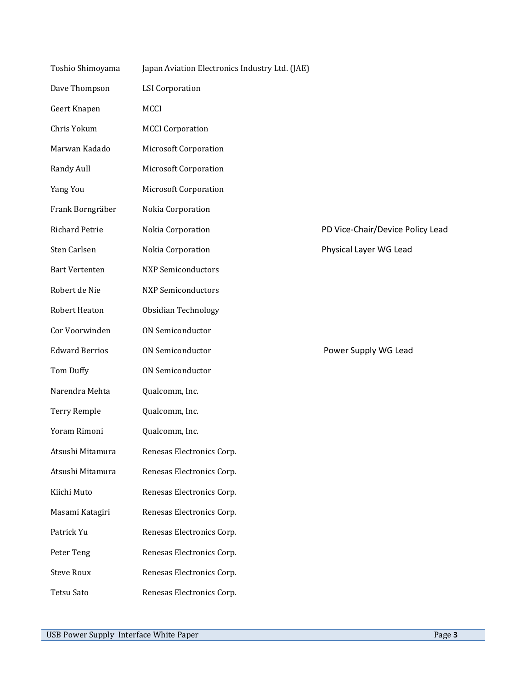| Toshio Shimoyama      | Japan Aviation Electronics Industry Ltd. (JAE) |                                  |
|-----------------------|------------------------------------------------|----------------------------------|
| Dave Thompson         | <b>LSI</b> Corporation                         |                                  |
| Geert Knapen          | MCCI                                           |                                  |
| Chris Yokum           | <b>MCCI</b> Corporation                        |                                  |
| Marwan Kadado         | Microsoft Corporation                          |                                  |
| Randy Aull            | <b>Microsoft Corporation</b>                   |                                  |
| Yang You              | Microsoft Corporation                          |                                  |
| Frank Borngräber      | Nokia Corporation                              |                                  |
| <b>Richard Petrie</b> | Nokia Corporation                              | PD Vice-Chair/Device Policy Lead |
| Sten Carlsen          | Nokia Corporation                              | Physical Layer WG Lead           |
| <b>Bart Vertenten</b> | <b>NXP Semiconductors</b>                      |                                  |
| Robert de Nie         | <b>NXP Semiconductors</b>                      |                                  |
| <b>Robert Heaton</b>  | Obsidian Technology                            |                                  |
| Cor Voorwinden        | ON Semiconductor                               |                                  |
| <b>Edward Berrios</b> | ON Semiconductor                               | Power Supply WG Lead             |
| Tom Duffy             | <b>ON Semiconductor</b>                        |                                  |
| Narendra Mehta        | Qualcomm, Inc.                                 |                                  |
| Terry Remple          | Qualcomm, Inc.                                 |                                  |
| Yoram Rimoni          | Qualcomm, Inc.                                 |                                  |
| Atsushi Mitamura      | Renesas Electronics Corp.                      |                                  |
| Atsushi Mitamura      | Renesas Electronics Corp.                      |                                  |
| Kiichi Muto           | Renesas Electronics Corp.                      |                                  |
| Masami Katagiri       | Renesas Electronics Corp.                      |                                  |
| Patrick Yu            | Renesas Electronics Corp.                      |                                  |
| Peter Teng            | Renesas Electronics Corp.                      |                                  |
| <b>Steve Roux</b>     | Renesas Electronics Corp.                      |                                  |
| Tetsu Sato            | Renesas Electronics Corp.                      |                                  |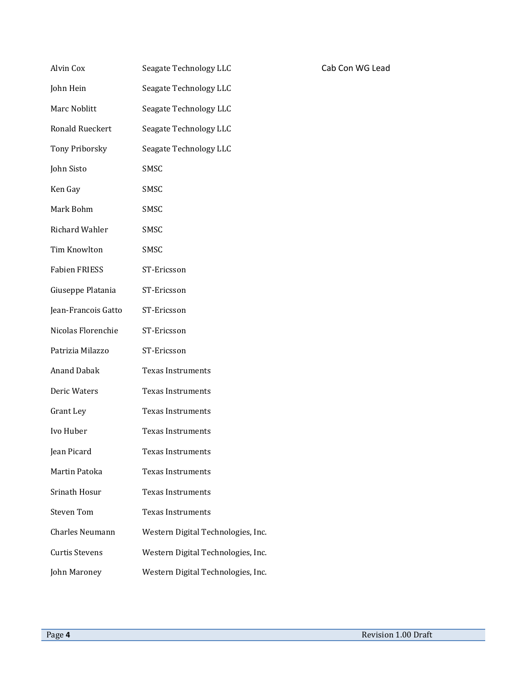| Alvin Cox              | Seagate Technology LLC             |
|------------------------|------------------------------------|
| John Hein              | Seagate Technology LLC             |
| Marc Noblitt           | Seagate Technology LLC             |
| Ronald Rueckert        | Seagate Technology LLC             |
| <b>Tony Priborsky</b>  | Seagate Technology LLC             |
| John Sisto             | SMSC                               |
| Ken Gay                | SMSC                               |
| Mark Bohm              | SMSC                               |
| Richard Wahler         | SMSC                               |
| Tim Knowlton           | SMSC                               |
| <b>Fabien FRIESS</b>   | ST-Ericsson                        |
| Giuseppe Platania      | ST-Ericsson                        |
| Jean-Francois Gatto    | ST-Ericsson                        |
| Nicolas Florenchie     | ST-Ericsson                        |
| Patrizia Milazzo       | ST-Ericsson                        |
| <b>Anand Dabak</b>     | <b>Texas Instruments</b>           |
| Deric Waters           | <b>Texas Instruments</b>           |
| Grant Ley              | <b>Texas Instruments</b>           |
| Ivo Huber              | Texas Instruments                  |
| Jean Picard            | Texas Instruments                  |
| Martin Patoka          | <b>Texas Instruments</b>           |
| Srinath Hosur          | <b>Texas Instruments</b>           |
| <b>Steven Tom</b>      | <b>Texas Instruments</b>           |
| <b>Charles Neumann</b> | Western Digital Technologies, Inc. |
| <b>Curtis Stevens</b>  | Western Digital Technologies, Inc. |
| John Maroney           | Western Digital Technologies, Inc. |

Cab Con WG Lead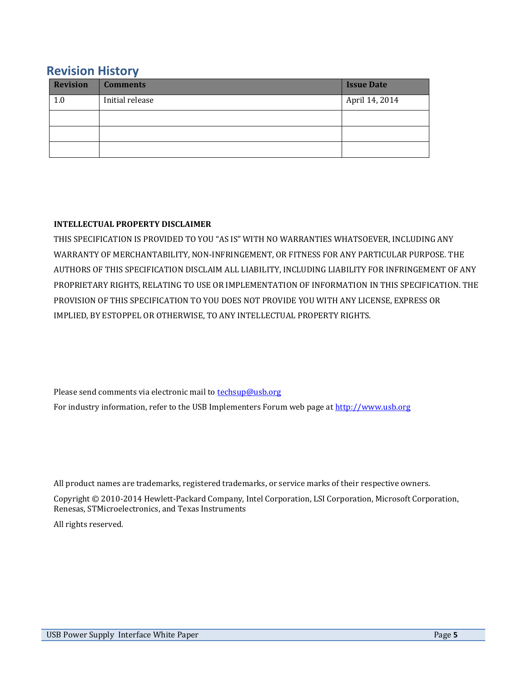# <span id="page-4-0"></span>**Revision History**

| <b>Revision</b> | <b>Comments</b> | <b>Issue Date</b> |
|-----------------|-----------------|-------------------|
| 1.0             | Initial release | April 14, 2014    |
|                 |                 |                   |
|                 |                 |                   |
|                 |                 |                   |

## **INTELLECTUAL PROPERTY DISCLAIMER**

THIS SPECIFICATION IS PROVIDED TO YOU "AS IS" WITH NO WARRANTIES WHATSOEVER, INCLUDING ANY WARRANTY OF MERCHANTABILITY, NON-INFRINGEMENT, OR FITNESS FOR ANY PARTICULAR PURPOSE. THE AUTHORS OF THIS SPECIFICATION DISCLAIM ALL LIABILITY, INCLUDING LIABILITY FOR INFRINGEMENT OF ANY PROPRIETARY RIGHTS, RELATING TO USE OR IMPLEMENTATION OF INFORMATION IN THIS SPECIFICATION. THE PROVISION OF THIS SPECIFICATION TO YOU DOES NOT PROVIDE YOU WITH ANY LICENSE, EXPRESS OR IMPLIED, BY ESTOPPEL OR OTHERWISE, TO ANY INTELLECTUAL PROPERTY RIGHTS.

Please send comments via electronic mail to **techsup@usb.org** 

For industry information, refer to the USB Implementers Forum web page at [http://www.usb.org](http://www.usb.org/)

All product names are trademarks, registered trademarks, or service marks of their respective owners.

Copyright © 2010-2014 Hewlett-Packard Company, Intel Corporation, LSI Corporation, Microsoft Corporation, Renesas, STMicroelectronics, and Texas Instruments

All rights reserved.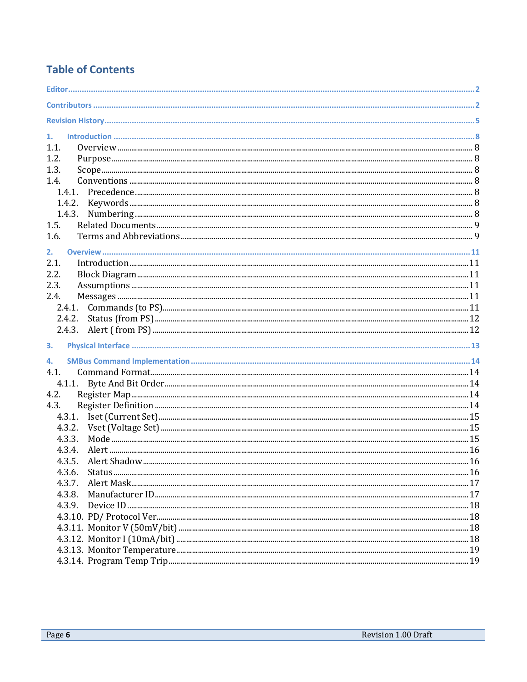# **Table of Contents**

| 1.     |  |
|--------|--|
| 1.1.   |  |
| 1.2.   |  |
| 1.3.   |  |
| 1.4.   |  |
|        |  |
|        |  |
|        |  |
| 1.5.   |  |
| 1.6.   |  |
| 2.     |  |
| 2.1.   |  |
| 2.2.   |  |
| 2.3.   |  |
| 2.4.   |  |
| 2.4.1. |  |
| 2.4.2. |  |
|        |  |
| 3.     |  |
| 4.     |  |
| 4.1.   |  |
|        |  |
| 4.2.   |  |
| 4.3.   |  |
| 4.3.1. |  |
| 4.3.2. |  |
| 4.3.3. |  |
| 4.3.4. |  |
| 4.3.5. |  |
| 4.3.6. |  |
| 4.3.7. |  |
| 4.3.8. |  |
|        |  |
|        |  |
|        |  |
|        |  |
|        |  |
|        |  |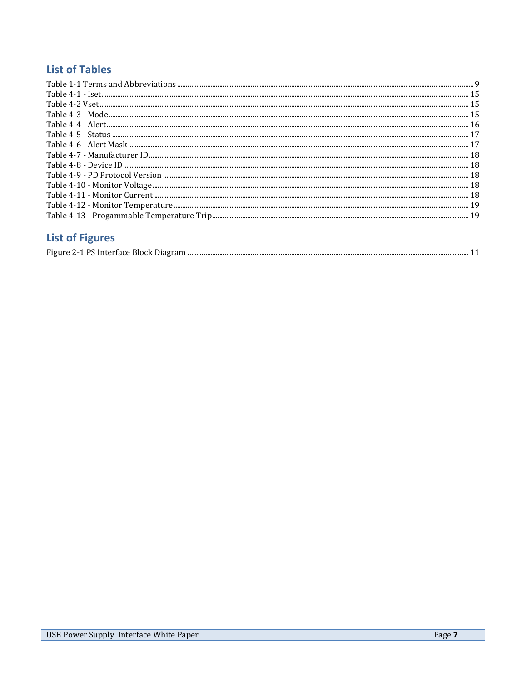# **List of Tables**

| 19 |
|----|
|    |

# **List of Figures**

|--|--|--|--|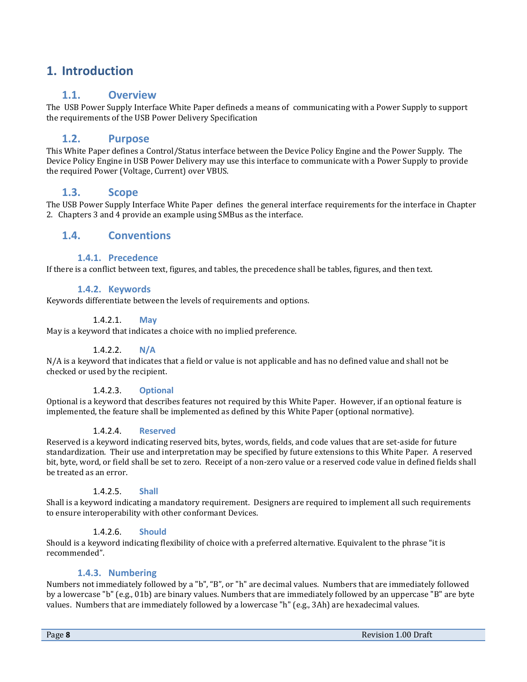# <span id="page-7-1"></span><span id="page-7-0"></span>**1. Introduction**

# **1.1. Overview**

The USB Power Supply Interface White Paper defineds a means of communicating with a Power Supply to support the requirements of the USB Power Delivery Specification

# **1.2. Purpose**

<span id="page-7-2"></span>This White Paper defines a Control/Status interface between the Device Policy Engine and the Power Supply. The Device Policy Engine in USB Power Delivery may use this interface to communicate with a Power Supply to provide the required Power (Voltage, Current) over VBUS.

# **1.3. Scope**

<span id="page-7-3"></span>The USB Power Supply Interface White Paper defines the general interface requirements for the interface in Chapter 2. Chapters 3 and 4 provide an example using SMBus as the interface.

# <span id="page-7-5"></span><span id="page-7-4"></span>**1.4. Conventions**

### **1.4.1. Precedence**

If there is a conflict between text, figures, and tables, the precedence shall be tables, figures, and then text.

### **1.4.2. Keywords**

<span id="page-7-6"></span>Keywords differentiate between the levels of requirements and options.

#### 1.4.2.1. **May**

May is a keyword that indicates a choice with no implied preference.

#### 1.4.2.2. **N/A**

N/A is a keyword that indicates that a field or value is not applicable and has no defined value and shall not be checked or used by the recipient.

#### 1.4.2.3. **Optional**

Optional is a keyword that describes features not required by this White Paper. However, if an optional feature is implemented, the feature shall be implemented as defined by this White Paper (optional normative).

#### 1.4.2.4. **Reserved**

Reserved is a keyword indicating reserved bits, bytes, words, fields, and code values that are set-aside for future standardization. Their use and interpretation may be specified by future extensions to this White Paper. A reserved bit, byte, word, or field shall be set to zero. Receipt of a non-zero value or a reserved code value in defined fields shall be treated as an error.

#### 1.4.2.5. **Shall**

Shall is a keyword indicating a mandatory requirement. Designers are required to implement all such requirements to ensure interoperability with other conformant Devices.

#### 1.4.2.6. **Should**

Should is a keyword indicating flexibility of choice with a preferred alternative. Equivalent to the phrase "it is recommended".

#### **1.4.3. Numbering**

<span id="page-7-7"></span>Numbers not immediately followed by a "b", "B", or "h" are decimal values. Numbers that are immediately followed by a lowercase "b" (e.g., 01b) are binary values. Numbers that are immediately followed by an uppercase "B" are byte values. Numbers that are immediately followed by a lowercase "h" (e.g., 3Ah) are hexadecimal values.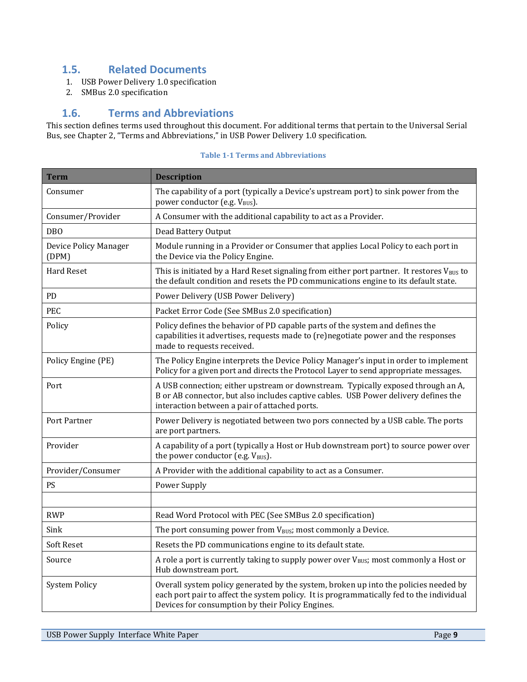# <span id="page-8-0"></span>**1.5. Related Documents**

- <span id="page-8-2"></span>1. USB Power Delivery 1.0 specification
- <span id="page-8-3"></span>2. SMBus 2.0 specification

# **1.6. Terms and Abbreviations**

<span id="page-8-1"></span>This section defines terms used throughout this document. For additional terms that pertain to the Universal Serial Bus, see Chapter 2, "Terms and Abbreviations," in [USB Power Delivery](#page-8-2) 1.0 specification.

| <b>Term</b>                    | <b>Description</b>                                                                                                                                                                                                                   |
|--------------------------------|--------------------------------------------------------------------------------------------------------------------------------------------------------------------------------------------------------------------------------------|
| Consumer                       | The capability of a port (typically a Device's upstream port) to sink power from the<br>power conductor (e.g. V <sub>BUS</sub> ).                                                                                                    |
| Consumer/Provider              | A Consumer with the additional capability to act as a Provider.                                                                                                                                                                      |
| <b>DBO</b>                     | Dead Battery Output                                                                                                                                                                                                                  |
| Device Policy Manager<br>(DPM) | Module running in a Provider or Consumer that applies Local Policy to each port in<br>the Device via the Policy Engine.                                                                                                              |
| <b>Hard Reset</b>              | This is initiated by a Hard Reset signaling from either port partner. It restores $V_{BUS}$ to<br>the default condition and resets the PD communications engine to its default state.                                                |
| PD                             | Power Delivery (USB Power Delivery)                                                                                                                                                                                                  |
| PEC                            | Packet Error Code (See SMBus 2.0 specification)                                                                                                                                                                                      |
| Policy                         | Policy defines the behavior of PD capable parts of the system and defines the<br>capabilities it advertises, requests made to (re)negotiate power and the responses<br>made to requests received.                                    |
| Policy Engine (PE)             | The Policy Engine interprets the Device Policy Manager's input in order to implement<br>Policy for a given port and directs the Protocol Layer to send appropriate messages.                                                         |
| Port                           | A USB connection; either upstream or downstream. Typically exposed through an A,<br>B or AB connector, but also includes captive cables. USB Power delivery defines the<br>interaction between a pair of attached ports.             |
| Port Partner                   | Power Delivery is negotiated between two pors connected by a USB cable. The ports<br>are port partners.                                                                                                                              |
| Provider                       | A capability of a port (typically a Host or Hub downstream port) to source power over<br>the power conductor (e.g. V <sub>BUS</sub> ).                                                                                               |
| Provider/Consumer              | A Provider with the additional capability to act as a Consumer.                                                                                                                                                                      |
| PS                             | Power Supply                                                                                                                                                                                                                         |
|                                |                                                                                                                                                                                                                                      |
| <b>RWP</b>                     | Read Word Protocol with PEC (See SMBus 2.0 specification)                                                                                                                                                                            |
| Sink                           | The port consuming power from V <sub>BUS</sub> ; most commonly a Device.                                                                                                                                                             |
| <b>Soft Reset</b>              | Resets the PD communications engine to its default state.                                                                                                                                                                            |
| Source                         | A role a port is currently taking to supply power over V <sub>BUS</sub> ; most commonly a Host or<br>Hub downstream port.                                                                                                            |
| <b>System Policy</b>           | Overall system policy generated by the system, broken up into the policies needed by<br>each port pair to affect the system policy. It is programmatically fed to the individual<br>Devices for consumption by their Policy Engines. |

#### **Table 1-1 Terms and Abbreviations**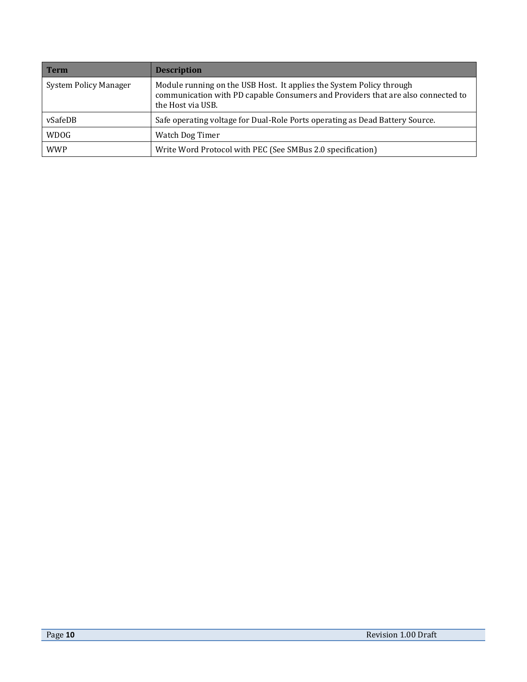| <b>Term</b>                  | <b>Description</b>                                                                                                                                                            |
|------------------------------|-------------------------------------------------------------------------------------------------------------------------------------------------------------------------------|
| <b>System Policy Manager</b> | Module running on the USB Host. It applies the System Policy through<br>communication with PD capable Consumers and Providers that are also connected to<br>the Host via USB. |
| vSafeDB                      | Safe operating voltage for Dual-Role Ports operating as Dead Battery Source.                                                                                                  |
| <b>WDOG</b>                  | Watch Dog Timer                                                                                                                                                               |
| <b>WWP</b>                   | Write Word Protocol with PEC (See SMBus 2.0 specification)                                                                                                                    |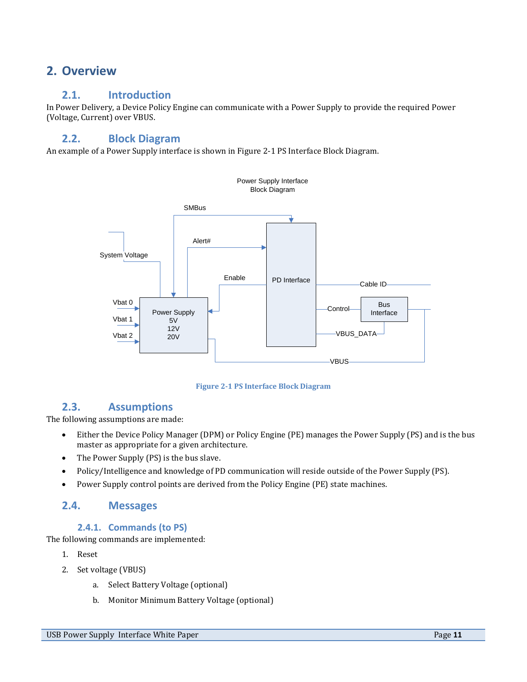# <span id="page-10-1"></span><span id="page-10-0"></span>**2. Overview**

# **2.1. Introduction**

In Power Delivery, a Device Policy Engine can communicate with a Power Supply to provide the required Power (Voltage, Current) over VBUS.

# <span id="page-10-2"></span>**2.2. Block Diagram**

An example of a Power Supply interface is shown in Figure 2-1 [PS Interface Block Diagram.](#page-10-6) 





# <span id="page-10-6"></span>**2.3. Assumptions**

<span id="page-10-3"></span>The following assumptions are made:

- Either the Device Policy Manager (DPM) or Policy Engine (PE) manages the Power Supply (PS) and is the bus master as appropriate for a given architecture.
- The Power Supply (PS) is the bus slave.
- Policy/Intelligence and knowledge of PD communication will reside outside of the Power Supply (PS).
- Power Supply control points are derived from the Policy Engine (PE) state machines.

# <span id="page-10-4"></span>**2.4. Messages**

# **2.4.1. Commands (to PS)**

<span id="page-10-5"></span>The following commands are implemented:

- 1. Reset
- 2. Set voltage (VBUS)
	- a. Select Battery Voltage (optional)
	- b. Monitor Minimum Battery Voltage (optional)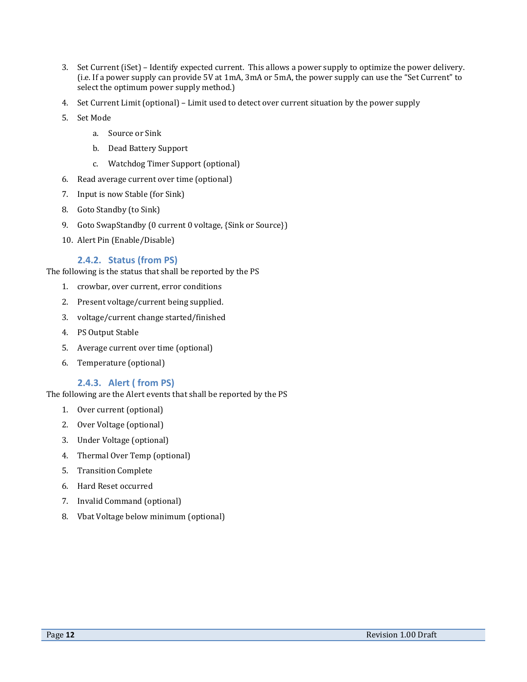- 3. Set Current (iSet) Identify expected current. This allows a power supply to optimize the power delivery. (i.e. If a power supply can provide 5V at 1mA, 3mA or 5mA, the power supply can use the "Set Current" to select the optimum power supply method.)
- 4. Set Current Limit (optional) Limit used to detect over current situation by the power supply
- 5. Set Mode
	- a. Source or Sink
	- b. Dead Battery Support
	- c. Watchdog Timer Support (optional)
- 6. Read average current over time (optional)
- 7. Input is now Stable (for Sink)
- 8. Goto Standby (to Sink)
- 9. Goto SwapStandby (0 current 0 voltage, {Sink or Source})
- 10. Alert Pin (Enable/Disable)

#### **2.4.2. Status (from PS)**

<span id="page-11-0"></span>The following is the status that shall be reported by the PS

- 1. crowbar, over current, error conditions
- 2. Present voltage/current being supplied.
- 3. voltage/current change started/finished
- 4. PS Output Stable
- 5. Average current over time (optional)
- 6. Temperature (optional)

#### **2.4.3. Alert ( from PS)**

<span id="page-11-1"></span>The following are the Alert events that shall be reported by the PS

- 1. Over current (optional)
- 2. Over Voltage (optional)
- 3. Under Voltage (optional)
- 4. Thermal Over Temp (optional)
- 5. Transition Complete
- 6. Hard Reset occurred
- 7. Invalid Command (optional)
- 8. Vbat Voltage below minimum (optional)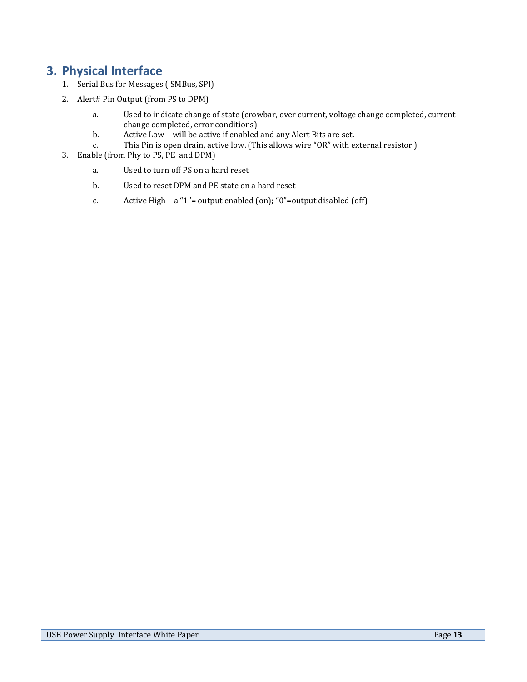# <span id="page-12-0"></span>**3. Physical Interface**

- 1. Serial Bus for Messages ( SMBus, SPI)
- 2. Alert# Pin Output (from PS to DPM)
	- a. Used to indicate change of state (crowbar, over current, voltage change completed, current change completed, error conditions)
	- b. Active Low will be active if enabled and any Alert Bits are set.
	- c. This Pin is open drain, active low. (This allows wire "OR" with external resistor.)
- 3. Enable (from Phy to PS, PE and DPM)
	- a. Used to turn off PS on a hard reset
	- b. Used to reset DPM and PE state on a hard reset
	- c. Active High a "1"= output enabled (on); "0"=output disabled (off)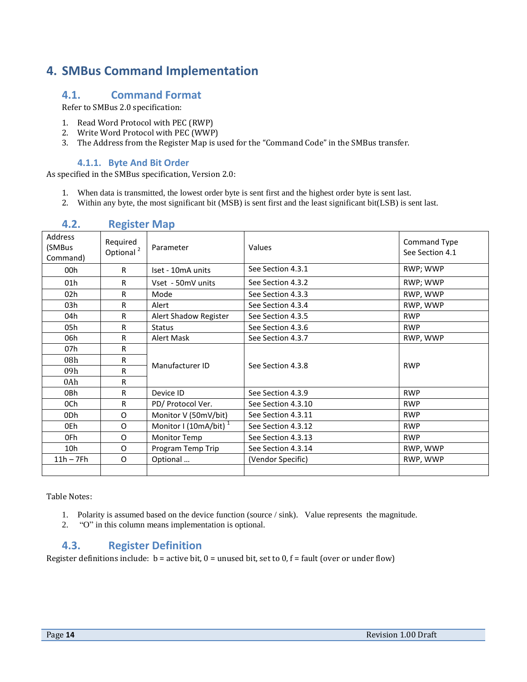# <span id="page-13-0"></span>**4. SMBus Command Implementation**

# <span id="page-13-1"></span>**4.1. Command Format**

Refer to SMBus 2.0 specification:

- 1. Read Word Protocol with PEC (RWP)
- 2. Write Word Protocol with PEC (WWP)
- 3. The Address from the Register Map is used for the "Command Code" in the SMBus transfer.

### **4.1.1. Byte And Bit Order**

<span id="page-13-2"></span>As specified in the SMBus specification, Version 2.0:

- 1. When data is transmitted, the lowest order byte is sent first and the highest order byte is sent last.
- 2. Within any byte, the most significant bit (MSB) is sent first and the least significant bit(LSB) is sent last.

<span id="page-13-3"></span>

| Address<br>(SMBus<br>Command) | Required<br>Optional <sup>2</sup> | Parameter                         | Values             | Command Type<br>See Section 4.1 |
|-------------------------------|-----------------------------------|-----------------------------------|--------------------|---------------------------------|
| 00h                           | $\mathsf{R}$                      | Iset - 10mA units                 | See Section 4.3.1  | RWP; WWP                        |
| 01 <sub>h</sub>               | R                                 | Vset - 50mV units                 | See Section 4.3.2  | RWP; WWP                        |
| 02h                           | R                                 | Mode                              | See Section 4.3.3  | RWP, WWP                        |
| 03h                           | R                                 | Alert                             | See Section 4.3.4  | RWP, WWP                        |
| 04h                           | R                                 | Alert Shadow Register             | See Section 4.3.5  | <b>RWP</b>                      |
| 05h                           | R                                 | <b>Status</b>                     | See Section 4.3.6  | <b>RWP</b>                      |
| 06h                           | R                                 | Alert Mask                        | See Section 4.3.7  | RWP, WWP                        |
| 07h                           | R                                 |                                   |                    |                                 |
| 08 <sub>h</sub>               | R                                 | Manufacturer ID                   | See Section 4.3.8  | <b>RWP</b>                      |
| 09h                           | R                                 |                                   |                    |                                 |
| 0Ah                           | R                                 |                                   |                    |                                 |
| 0Bh                           | R.                                | Device ID                         | See Section 4.3.9  | <b>RWP</b>                      |
| 0Ch                           | R                                 | PD/ Protocol Ver.                 | See Section 4.3.10 | <b>RWP</b>                      |
| 0Dh                           | $\circ$                           | Monitor V (50mV/bit)              | See Section 4.3.11 | <b>RWP</b>                      |
| 0Eh                           | O                                 | Monitor I (10mA/bit) <sup>1</sup> | See Section 4.3.12 | <b>RWP</b>                      |
| 0Fh                           | $\circ$                           | <b>Monitor Temp</b>               | See Section 4.3.13 | <b>RWP</b>                      |
| 10 <sub>h</sub>               | O                                 | Program Temp Trip                 | See Section 4.3.14 | RWP, WWP                        |
| $11h - 7Fh$                   | O                                 | Optional                          | (Vendor Specific)  | RWP, WWP                        |
|                               |                                   |                                   |                    |                                 |

## **4.2. Register Map**

Table Notes:

- 1. Polarity is assumed based on the device function (source / sink). Value represents the magnitude.
- 2. "O" in this column means implementation is optional.

# <span id="page-13-4"></span>**4.3. Register Definition**

Register definitions include:  $b =$  active bit,  $0 =$  unused bit, set to  $0, f =$  fault (over or under flow)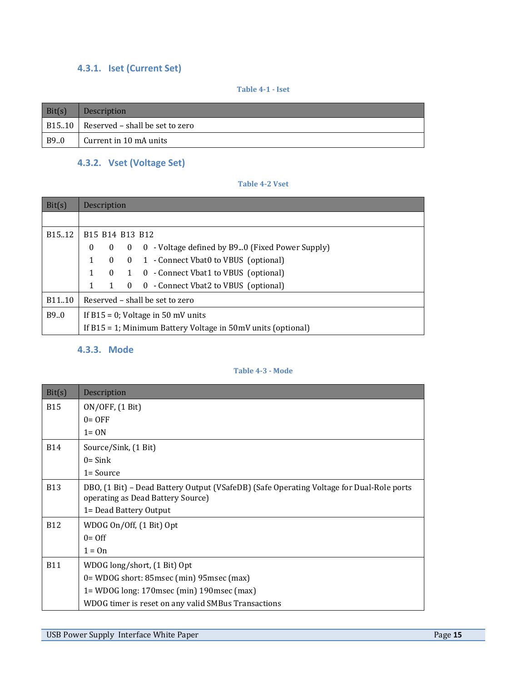# <span id="page-14-0"></span>**4.3.1. Iset (Current Set)**

**Table 4-1 - Iset**

| Bit(s) | <b>Description</b>                      |
|--------|-----------------------------------------|
|        | B1510   Reserved – shall be set to zero |
| B9.0   | Current in 10 mA units                  |

# <span id="page-14-1"></span>**4.3.2. Vset (Voltage Set)**

**Table 4-2 Vset**

| Bit(s)              | Description                                                       |              |              |                                                 |  |
|---------------------|-------------------------------------------------------------------|--------------|--------------|-------------------------------------------------|--|
|                     |                                                                   |              |              |                                                 |  |
| B <sub>15</sub> .12 | B <sub>15</sub> B <sub>14</sub> B <sub>13</sub> B <sub>12</sub>   |              |              |                                                 |  |
|                     | $\bf{0}$                                                          | $\mathbf{0}$ | $\mathbf{0}$ | 0 - Voltage defined by B90 (Fixed Power Supply) |  |
|                     | $\mathbf{1}$                                                      | $\Omega$     |              | 0 1 - Connect Vbat0 to VBUS (optional)          |  |
|                     | $\mathbf{1}$                                                      |              |              | 0 1 0 - Connect Vbat1 to VBUS (optional)        |  |
|                     | 1                                                                 | 1            | $\theta$     | 0 - Connect Vbat2 to VBUS (optional)            |  |
| B <sub>11</sub> .10 | Reserved – shall be set to zero                                   |              |              |                                                 |  |
| B9.0                | If $B15 = 0$ ; Voltage in 50 mV units                             |              |              |                                                 |  |
|                     | If $B15 = 1$ ; Minimum Battery Voltage in $50mV$ units (optional) |              |              |                                                 |  |

# <span id="page-14-2"></span>**4.3.3. Mode**

### **Table 4-3 - Mode**

| Bit(s)     | Description                                                                                                                   |
|------------|-------------------------------------------------------------------------------------------------------------------------------|
| <b>B15</b> | ON/OFF, (1 Bit)                                                                                                               |
|            | $0 =$ OFF                                                                                                                     |
|            | $1 = ON$                                                                                                                      |
| <b>B14</b> | Source/Sink, (1 Bit)                                                                                                          |
|            | $0 =$ Sink                                                                                                                    |
|            | 1= Source                                                                                                                     |
| <b>B13</b> | DBO, (1 Bit) – Dead Battery Output (VSafeDB) (Safe Operating Voltage for Dual-Role ports<br>operating as Dead Battery Source) |
|            | 1= Dead Battery Output                                                                                                        |
| <b>B12</b> | WDOG On/Off, (1 Bit) Opt                                                                                                      |
|            | $0 = \Omega f$                                                                                                                |
|            | $1 = On$                                                                                                                      |
| <b>B11</b> | WDOG long/short, (1 Bit) Opt                                                                                                  |
|            | 0= WDOG short: 85msec (min) 95msec (max)                                                                                      |
|            | 1= WDOG long: 170 msec (min) 190 msec (max)                                                                                   |
|            | WDOG timer is reset on any valid SMBus Transactions                                                                           |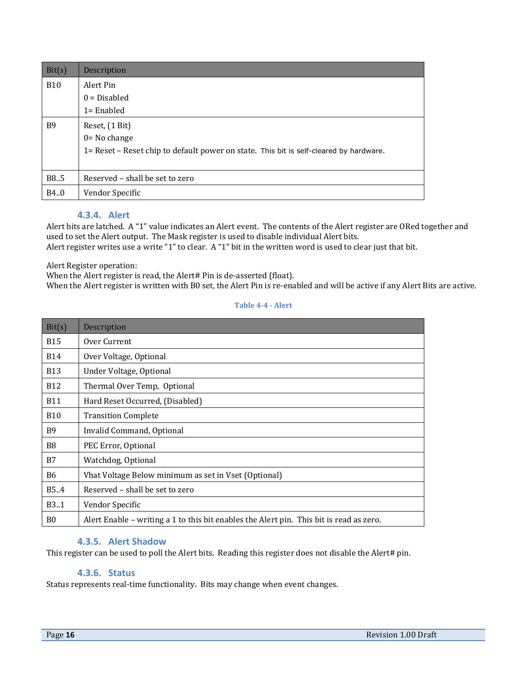| Bit(s)     | Description                                                                            |  |
|------------|----------------------------------------------------------------------------------------|--|
| <b>B10</b> | Alert Pin                                                                              |  |
|            | $0 = Disable$                                                                          |  |
|            | $1 =$ Enabled                                                                          |  |
| B9         | Reset, (1 Bit)                                                                         |  |
|            | $0 = No$ change                                                                        |  |
|            | 1= Reset - Reset chip to default power on state. This bit is self-cleared by hardware. |  |
|            |                                                                                        |  |
| B8.5       | Reserved – shall be set to zero                                                        |  |
| B4.0       | Vendor Specific                                                                        |  |

#### **4.3.4. Alert**

<span id="page-15-0"></span>Alert bits are latched. A "1" value indicates an Alert event. The contents of the Alert register are ORed together and used to set the Alert output. The Mask register is used to disable individual Alert bits. Alert register writes use a write "1" to clear. A "1" bit in the written word is used to clear just that bit.

Alert Register operation:

When the Alert register is read, the Alert# Pin is de-asserted (float).

When the Alert register is written with B0 set, the Alert Pin is re-enabled and will be active if any Alert Bits are active.

#### **Table 4-4 - Alert**

| Bit(s)         | Description                                                                             |
|----------------|-----------------------------------------------------------------------------------------|
| <b>B15</b>     | Over Current                                                                            |
| <b>B14</b>     | Over Voltage, Optional                                                                  |
| <b>B13</b>     | Under Voltage, Optional                                                                 |
| <b>B12</b>     | Thermal Over Temp, Optional                                                             |
| <b>B11</b>     | Hard Reset Occurred, (Disabled)                                                         |
| <b>B10</b>     | <b>Transition Complete</b>                                                              |
| <b>B</b> 9     | Invalid Command, Optional                                                               |
| B <sub>8</sub> | PEC Error, Optional                                                                     |
| B7             | Watchdog, Optional                                                                      |
| <b>B6</b>      | Vbat Voltage Below minimum as set in Vset (Optional)                                    |
| B5.4           | Reserved – shall be set to zero                                                         |
| <b>B3.1</b>    | Vendor Specific                                                                         |
| B <sub>0</sub> | Alert Enable – writing a 1 to this bit enables the Alert pin. This bit is read as zero. |

# **4.3.5. Alert Shadow**

<span id="page-15-2"></span><span id="page-15-1"></span>This register can be used to poll the Alert bits. Reading this register does not disable the Alert# pin.

### **4.3.6. Status**

Status represents real-time functionality. Bits may change when event changes.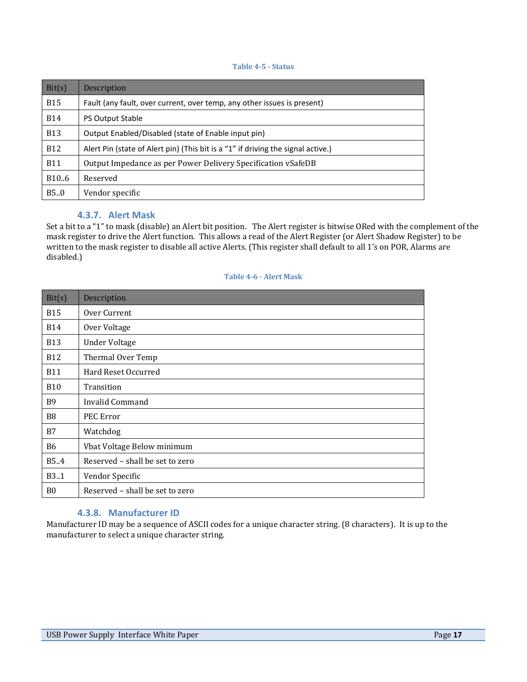**Table 4-5 - Status**

| Bit(s)            | Description                                                                      |  |
|-------------------|----------------------------------------------------------------------------------|--|
| <b>B15</b>        | Fault (any fault, over current, over temp, any other issues is present)          |  |
| <b>B14</b>        | <b>PS Output Stable</b>                                                          |  |
| <b>B13</b>        | Output Enabled/Disabled (state of Enable input pin)                              |  |
| <b>B12</b>        | Alert Pin (state of Alert pin) (This bit is a "1" if driving the signal active.) |  |
| <b>B11</b>        | Output Impedance as per Power Delivery Specification vSafeDB                     |  |
| B <sub>10.6</sub> | Reserved                                                                         |  |
| B5.0              | Vendor specific                                                                  |  |

### **4.3.7. Alert Mask**

<span id="page-16-0"></span>Set a bit to a "1" to mask (disable) an Alert bit position. The Alert register is bitwise ORed with the complement of the mask register to drive the Alert function. This allows a read of the Alert Register (or Alert Shadow Register) to be written to the mask register to disable all active Alerts. (This register shall default to all 1's on POR, Alarms are disabled.)

#### **Table 4-6 - Alert Mask**

| Bit(s)            | Description                     |
|-------------------|---------------------------------|
| <b>B15</b>        | Over Current                    |
| <b>B14</b>        | Over Voltage                    |
| <b>B13</b>        | <b>Under Voltage</b>            |
| <b>B12</b>        | Thermal Over Temp               |
| <b>B11</b>        | Hard Reset Occurred             |
| <b>B10</b>        | Transition                      |
| <b>B</b> 9        | Invalid Command                 |
| B <sub>8</sub>    | PEC Error                       |
| <b>B7</b>         | Watchdog                        |
| <b>B6</b>         | Vbat Voltage Below minimum      |
| B5.4              | Reserved - shall be set to zero |
| B <sub>3</sub> .1 | Vendor Specific                 |
| B <sub>0</sub>    | Reserved - shall be set to zero |

### **4.3.8. Manufacturer ID**

<span id="page-16-1"></span>Manufacturer ID may be a sequence of ASCII codes for a unique character string. (8 characters). It is up to the manufacturer to select a unique character string.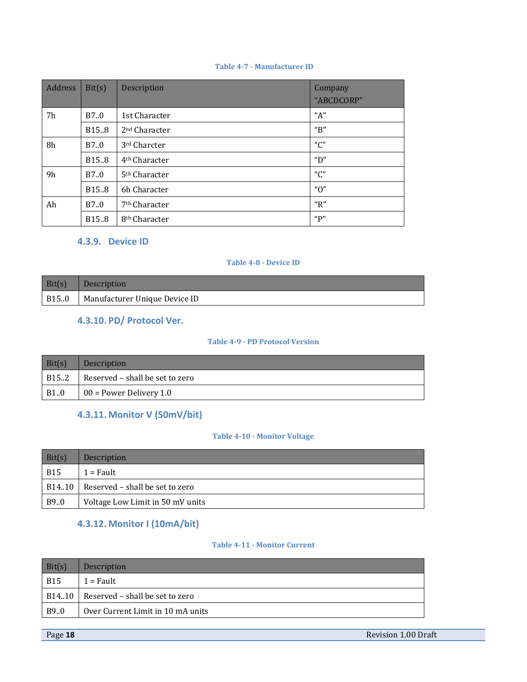#### **Table 4-7 - Manufacturer ID**

| <b>Address</b> | Bit(s)            | Description               | Company<br>"ABCDCORP" |
|----------------|-------------------|---------------------------|-----------------------|
| 7h             | B7.0              | 1st Character             | "A"                   |
|                | B <sub>15.8</sub> | 2 <sup>nd</sup> Character | $^{\prime\prime}$ B"  |
| 8h             | B7.0              | 3rd Charcter              | $^{\prime\prime}$ C"  |
|                | B <sub>15.8</sub> | 4 <sup>th</sup> Character | "D"                   |
| 9h             | B7.0              | 5 <sup>th</sup> Character | $^{\prime\prime}$ C"  |
|                | B <sub>15.8</sub> | 6h Character              | " $0$ "               |
| Ah             | B7.0              | 7 <sup>th</sup> Character | " $R$ "               |
|                | B <sub>15.8</sub> | 8 <sup>th</sup> Character | "P"                   |

### <span id="page-17-0"></span>**4.3.9. Device ID**

#### **Table 4-8 - Device ID**

<span id="page-17-1"></span>

| Bit(s) | Description                           |
|--------|---------------------------------------|
|        | B15.0   Manufacturer Unique Device ID |

# **4.3.10. PD/ Protocol Ver.**

## **Table 4-9 - PD Protocol Version**

| Bit(s) | <b>Description</b>              |  |
|--------|---------------------------------|--|
| B15.2  | Reserved - shall be set to zero |  |
| B10    | $\vert 00$ = Power Delivery 1.0 |  |

# <span id="page-17-2"></span>**4.3.11. Monitor V (50mV/bit)**

## **Table 4-10 - Monitor Voltage**

| Bit(s)     | Description                              |  |
|------------|------------------------------------------|--|
| <b>B15</b> | $1 = \text{Fault}$                       |  |
|            | $B14.10$ Reserved – shall be set to zero |  |
| B9.0       | Voltage Low Limit in 50 mV units         |  |

# <span id="page-17-3"></span>**4.3.12. Monitor I (10mA/bit)**

#### **Table 4-11 - Monitor Current**

| Bit(s)     | Description                               |  |
|------------|-------------------------------------------|--|
| <b>B15</b> | $1 = \text{Fault}$                        |  |
|            | $B1410$   Reserved – shall be set to zero |  |
| B9.0       | Over Current Limit in 10 mA units         |  |